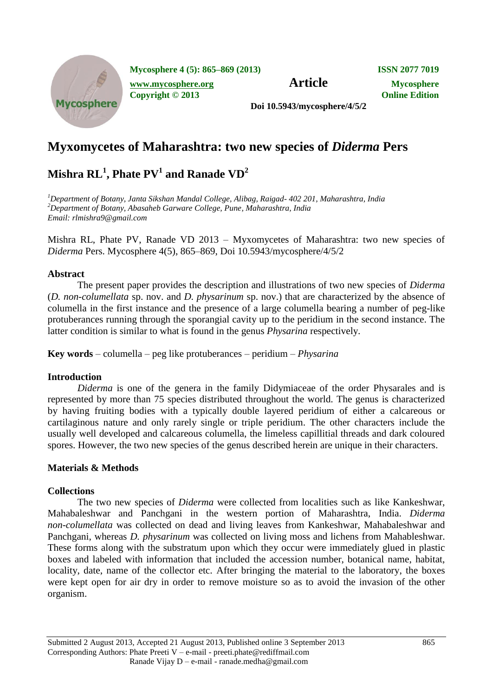

**Mycosphere 4 (5): 865–869 (2013) ISSN 2077 7019**

*[www.mycosphere.org](http://www.mycosphere.org/)* **<b>Article Mycosphere** 

**Copyright © 2013 Online Edition**

**Doi 10.5943/mycosphere/4/5/2**

# **Myxomycetes of Maharashtra: two new species of** *Diderma* **Pers**

# $\mathbf{M}$ ishra  $\mathbf{RL}^1$ , Phate  $\mathbf{PV}^1$  and Ranade  $\mathbf{VD}^2$

*<sup>1</sup>Department of Botany, Janta Sikshan Mandal College, Alibag, Raigad- 402 201, Maharashtra, India <sup>2</sup>Department of Botany, Abasaheb Garware College, Pune, Maharashtra, India Email: rlmishra9@gmail.com*

Mishra RL, Phate PV, Ranade VD 2013 – Myxomycetes of Maharashtra: two new species of *Diderma* Pers. Mycosphere 4(5), 865–869, Doi 10.5943/mycosphere/4/5/2

## **Abstract**

The present paper provides the description and illustrations of two new species of *Diderma*  (*D. non-columellata* sp. nov. and *D. physarinum* sp. nov.) that are characterized by the absence of columella in the first instance and the presence of a large columella bearing a number of peg-like protuberances running through the sporangial cavity up to the peridium in the second instance. The latter condition is similar to what is found in the genus *Physarina* respectively.

**Key words** – columella – peg like protuberances – peridium – *Physarina*

## **Introduction**

*Diderma* is one of the genera in the family Didymiaceae of the order Physarales and is represented by more than 75 species distributed throughout the world. The genus is characterized by having fruiting bodies with a typically double layered peridium of either a calcareous or cartilaginous nature and only rarely single or triple peridium. The other characters include the usually well developed and calcareous columella, the limeless capillitial threads and dark coloured spores. However, the two new species of the genus described herein are unique in their characters.

# **Materials & Methods**

# **Collections**

The two new species of *Diderma* were collected from localities such as like Kankeshwar, Mahabaleshwar and Panchgani in the western portion of Maharashtra, India. *Diderma non-columellata* was collected on dead and living leaves from Kankeshwar, Mahabaleshwar and Panchgani, whereas *D. physarinum* was collected on living moss and lichens from Mahableshwar. These forms along with the substratum upon which they occur were immediately glued in plastic boxes and labeled with information that included the accession number, botanical name, habitat, locality, date, name of the collector etc. After bringing the material to the laboratory, the boxes were kept open for air dry in order to remove moisture so as to avoid the invasion of the other organism.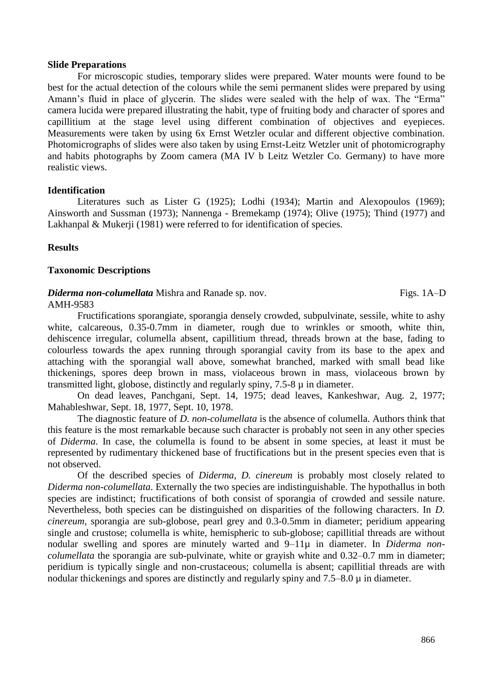#### **Slide Preparations**

For microscopic studies, temporary slides were prepared. Water mounts were found to be best for the actual detection of the colours while the semi permanent slides were prepared by using Amann's fluid in place of glycerin. The slides were sealed with the help of wax. The "Erma" camera lucida were prepared illustrating the habit, type of fruiting body and character of spores and capillitium at the stage level using different combination of objectives and eyepieces. Measurements were taken by using 6x Ernst Wetzler ocular and different objective combination. Photomicrographs of slides were also taken by using Ernst-Leitz Wetzler unit of photomicrography and habits photographs by Zoom camera (MA IV b Leitz Wetzler Co. Germany) to have more realistic views.

#### **Identification**

Literatures such as Lister G (1925); Lodhi (1934); Martin and Alexopoulos (1969); Ainsworth and Sussman (1973); Nannenga - Bremekamp (1974); Olive (1975); Thind (1977) and Lakhanpal & Mukerji (1981) were referred to for identification of species.

#### **Results**

#### **Taxonomic Descriptions**

#### *Diderma non-columellata* Mishra and Ranade sp. nov. Figs. 1A–D AMH-9583

Fructifications sporangiate, sporangia densely crowded, subpulvinate, sessile, white to ashy white, calcareous, 0.35-0.7mm in diameter, rough due to wrinkles or smooth, white thin, dehiscence irregular, columella absent, capillitium thread, threads brown at the base, fading to colourless towards the apex running through sporangial cavity from its base to the apex and attaching with the sporangial wall above, somewhat branched, marked with small bead like thickenings, spores deep brown in mass, violaceous brown in mass, violaceous brown by transmitted light, globose, distinctly and regularly spiny, 7.5-8 µ in diameter.

On dead leaves, Panchgani, Sept. 14, 1975; dead leaves, Kankeshwar, Aug. 2, 1977; Mahableshwar, Sept. 18, 1977, Sept. 10, 1978.

The diagnostic feature of *D. non-columellata* is the absence of columella. Authors think that this feature is the most remarkable because such character is probably not seen in any other species of *Diderma*. In case, the columella is found to be absent in some species, at least it must be represented by rudimentary thickened base of fructifications but in the present species even that is not observed.

Of the described species of *Diderma*, *D. cinereum* is probably most closely related to *Diderma non-columellata*. Externally the two species are indistinguishable. The hypothallus in both species are indistinct; fructifications of both consist of sporangia of crowded and sessile nature. Nevertheless, both species can be distinguished on disparities of the following characters. In *D. cinereum,* sporangia are sub-globose, pearl grey and 0.3-0.5mm in diameter; peridium appearing single and crustose; columella is white, hemispheric to sub-globose; capillitial threads are without nodular swelling and spores are minutely warted and 9–11µ in diameter. In *Diderma noncolumellata* the sporangia are sub-pulvinate, white or grayish white and 0.32–0.7 mm in diameter; peridium is typically single and non-crustaceous; columella is absent; capillitial threads are with nodular thickenings and spores are distinctly and regularly spiny and 7.5–8.0  $\mu$  in diameter.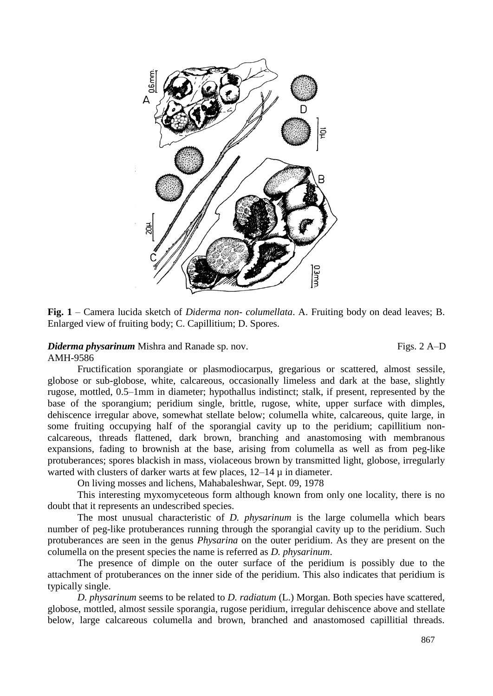

**Fig. 1** – Camera lucida sketch of *Diderma non- columellata*. A. Fruiting body on dead leaves; B. Enlarged view of fruiting body; C. Capillitium; D. Spores.

## *Diderma physarinum* Mishra and Ranade sp. nov. Figs. 2 A–D

## AMH-9586

Fructification sporangiate or plasmodiocarpus, gregarious or scattered, almost sessile, globose or sub-globose, white, calcareous, occasionally limeless and dark at the base, slightly rugose, mottled, 0.5–1mm in diameter; hypothallus indistinct; stalk, if present, represented by the base of the sporangium; peridium single, brittle, rugose, white, upper surface with dimples, dehiscence irregular above, somewhat stellate below; columella white, calcareous, quite large, in some fruiting occupying half of the sporangial cavity up to the peridium; capillitium noncalcareous, threads flattened, dark brown, branching and anastomosing with membranous expansions, fading to brownish at the base, arising from columella as well as from peg-like protuberances; spores blackish in mass, violaceous brown by transmitted light, globose, irregularly warted with clusters of darker warts at few places,  $12-14 \mu$  in diameter.

On living mosses and lichens, Mahabaleshwar, Sept. 09, 1978

This interesting myxomyceteous form although known from only one locality, there is no doubt that it represents an undescribed species.

The most unusual characteristic of *D. physarinum* is the large columella which bears number of peg-like protuberances running through the sporangial cavity up to the peridium. Such protuberances are seen in the genus *Physarina* on the outer peridium. As they are present on the columella on the present species the name is referred as *D. physarinum*.

The presence of dimple on the outer surface of the peridium is possibly due to the attachment of protuberances on the inner side of the peridium. This also indicates that peridium is typically single.

*D. physarinum* seems to be related to *D. radiatum* (L.) Morgan. Both species have scattered, globose, mottled, almost sessile sporangia, rugose peridium, irregular dehiscence above and stellate below, large calcareous columella and brown, branched and anastomosed capillitial threads.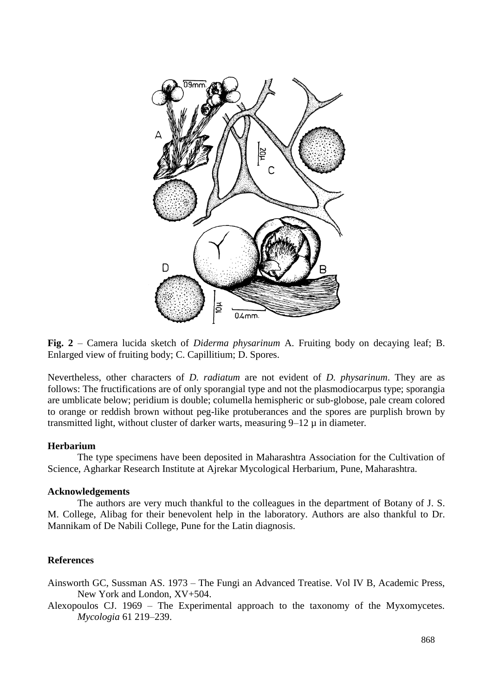

**Fig. 2** – Camera lucida sketch of *Diderma physarinum* A. Fruiting body on decaying leaf; B. Enlarged view of fruiting body; C. Capillitium; D. Spores.

Nevertheless, other characters of *D. radiatum* are not evident of *D. physarinum*. They are as follows: The fructifications are of only sporangial type and not the plasmodiocarpus type; sporangia are umblicate below; peridium is double; columella hemispheric or sub-globose, pale cream colored to orange or reddish brown without peg-like protuberances and the spores are purplish brown by transmitted light, without cluster of darker warts, measuring 9–12 µ in diameter*.*

## **Herbarium**

The type specimens have been deposited in Maharashtra Association for the Cultivation of Science, Agharkar Research Institute at Ajrekar Mycological Herbarium, Pune, Maharashtra.

#### **Acknowledgements**

The authors are very much thankful to the colleagues in the department of Botany of J. S. M. College, Alibag for their benevolent help in the laboratory. Authors are also thankful to Dr. Mannikam of De Nabili College, Pune for the Latin diagnosis.

# **References**

Ainsworth GC, Sussman AS. 1973 – The Fungi an Advanced Treatise. Vol IV B, Academic Press, New York and London, XV+504.

Alexopoulos CJ. 1969 – The Experimental approach to the taxonomy of the Myxomycetes. *Mycologia* 61 219–239.